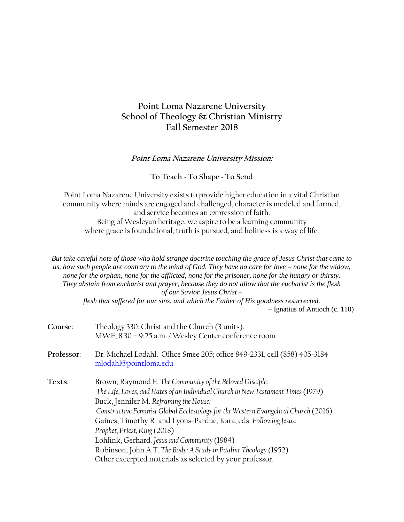# **Point Loma Nazarene University School of Theology & Christian Ministry Fall Semester 2018**

### **Point Loma Nazarene University Mission:**

#### **To Teach ~ To Shape ~ To Send**

Point Loma Nazarene University exists to provide higher education in a vital Christian community where minds are engaged and challenged, character is modeled and formed, and service becomes an expression of faith. Being of Wesleyan heritage, we aspire to be a learning community where grace is foundational, truth is pursued, and holiness is a way of life.

*But take careful note of those who hold strange doctrine touching the grace of Jesus Christ that came to us, how such people are contrary to the mind of God. They have no care for love – none for the widow, none for the orphan, none for the afflicted, none for the prisoner, none for the hungry or thirsty. They abstain from eucharist and prayer, because they do not allow that the eucharist is the flesh of our Savior Jesus Christ – flesh that suffered for our sins, and which the Father of His goodness resurrected.*

– Ignatius of Antioch (c. 110)

| Course:    | Theology 330: Christ and the Church (3 units).<br>MWF, 8:30 - 9:25 a.m. / Wesley Center conference room<br>Dr. Michael Lodahl. Office Smee 205; office 849-2331, cell (858) 405-3184<br>mlodahl@pointloma.edu                                                                                                                                                                                                                                                                                                                                                     |  |  |  |  |
|------------|-------------------------------------------------------------------------------------------------------------------------------------------------------------------------------------------------------------------------------------------------------------------------------------------------------------------------------------------------------------------------------------------------------------------------------------------------------------------------------------------------------------------------------------------------------------------|--|--|--|--|
| Professor: |                                                                                                                                                                                                                                                                                                                                                                                                                                                                                                                                                                   |  |  |  |  |
| Texts:     | Brown, Raymond E. The Community of the Beloved Disciple:<br>The Life, Loves, and Hates of an Individual Church in New Testament Times (1979)<br>Buck, Jennifer M. Reframing the House:<br>Constructive Feminist Global Ecclesiology for the Western Evangelical Church (2016)<br>Gaines, Timothy R. and Lyons-Pardue, Kara, eds. Following Jesus:<br>Prophet, Priest, King (2018)<br>Lohfink, Gerhard. Jesus and Community (1984)<br>Robinson, John A.T. The Body: A Study in Pauline Theology (1952)<br>Other excerpted materials as selected by your professor. |  |  |  |  |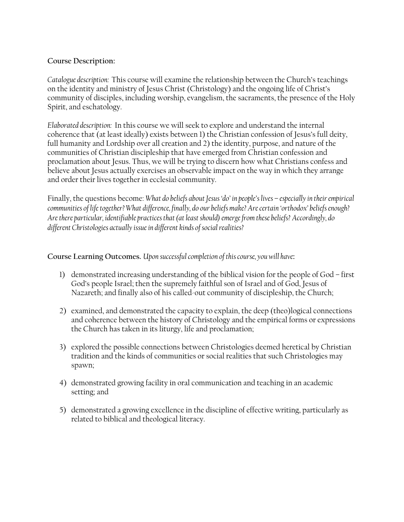### **Course Description:**

*Catalogue description:* This course will examine the relationship between the Church's teachings on the identity and ministry of Jesus Christ (Christology) and the ongoing life of Christ's community of disciples, including worship, evangelism, the sacraments, the presence of the Holy Spirit, and eschatology.

*Elaborated description:* In this course we will seek to explore and understand the internal coherence that (at least ideally) exists between 1) the Christian confession of Jesus's full deity, full humanity and Lordship over all creation and 2) the identity, purpose, and nature of the communities of Christian discipleship that have emerged from Christian confession and proclamation about Jesus. Thus, we will be trying to discern how what Christians confess and believe about Jesus actually exercises an observable impact on the way in which they arrange and order their lives together in ecclesial community.

Finally, the questions become: *What do beliefs about Jesus 'do' in people's lives – especially in their empirical communities of life together? What difference, finally, do our beliefs make? Are certain 'orthodox' beliefs enough? Are there particular, identifiable practices that (at least should) emerge from these beliefs? Accordingly, do different Christologies actually issue in different kinds of social realities?*

## **Course Learning Outcomes.** *Upon successful completion of this course, you will have***:**

- 1) demonstrated increasing understanding of the biblical vision for the people of God first God's people Israel; then the supremely faithful son of Israel and of God, Jesus of Nazareth; and finally also of his called-out community of discipleship, the Church;
- 2) examined, and demonstrated the capacity to explain, the deep (theo)logical connections and coherence between the history of Christology and the empirical forms or expressions the Church has taken in its liturgy, life and proclamation;
- 3) explored the possible connections between Christologies deemed heretical by Christian tradition and the kinds of communities or social realities that such Christologies may spawn;
- 4) demonstrated growing facility in oral communication and teaching in an academic setting; and
- 5) demonstrated a growing excellence in the discipline of effective writing, particularly as related to biblical and theological literacy.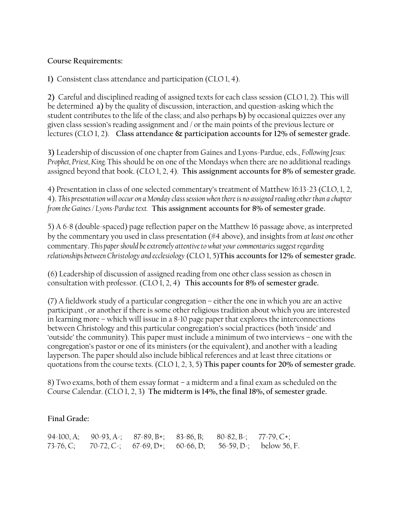### **Course Requirements:**

**1)** Consistent class attendance and participation (CLO 1, 4).

**2)** Careful and disciplined reading of assigned texts for each class session (CLO 1, 2). This will be determined **a)** by the quality of discussion, interaction, and question-asking which the student contributes to the life of the class; and also perhaps **b)** by occasional quizzes over any given class session's reading assignment and / or the main points of the previous lecture or lectures (CLO 1, 2). **Class attendance & participation accounts for 12% of semester grade.**

**3)** Leadership of discussion of one chapter from Gaines and Lyons-Pardue, eds., *Following Jesus: Prophet, Priest, King.* This should be on one of the Mondays when there are no additional readings assigned beyond that book. (CLO 1, 2, 4). **This assignment accounts for 8% of semester grade.**

4) Presentation in class of one selected commentary's treatment of Matthew 16:13-23 (CLO, 1, 2, 4). *This presentation will occur on a Monday class session when there is no assigned reading other than a chapter from the Gaines / Lyons-Pardue text.* **This assignment accounts for 8% of semester grade.**

5) A 6-8 (double-spaced) page reflection paper on the Matthew 16 passage above, as interpreted by the commentary you used in class presentation (#4 above), and insights from *at least one* other commentary. *This paper should be extremely attentive to what your commentaries suggest regarding relationships between Christology and ecclesiology* (CLO 1, 5)**This accounts for 12% of semester grade.**

(6) Leadership of discussion of assigned reading from one other class session as chosen in consultation with professor. (CLO 1, 2, 4) **This accounts for 8% of semester grade.**

(7) A fieldwork study of a particular congregation – either the one in which you are an active participant , or another if there is some other religious tradition about which you are interested in learning more – which will issue in a 8-10 page paper that explores the interconnections between Christology and this particular congregation's social practices (both 'inside' and 'outside' the community). This paper must include a minimum of two interviews – one with the congregation's pastor or one of its ministers (or the equivalent), and another with a leading layperson. The paper should also include biblical references and at least three citations or quotations from the course texts. (CLO 1, 2, 3, 5) **This paper counts for 20% of semester grade.**

8) Two exams, both of them essay format – a midterm and a final exam as scheduled on the Course Calendar. (CLO 1, 2, 3) **The midterm is 14%, the final 18%, of semester grade.**

## **Final Grade:**

|  |  | 94-100, A; 90-93, A-; 87-89, B+; 83-86, B; 80-82, B-; 77-79, C+; |                                                                   |
|--|--|------------------------------------------------------------------|-------------------------------------------------------------------|
|  |  |                                                                  | 73-76, C; 70-72, C-; 67-69, D+; 60-66, D; 56-59, D-; below 56, F. |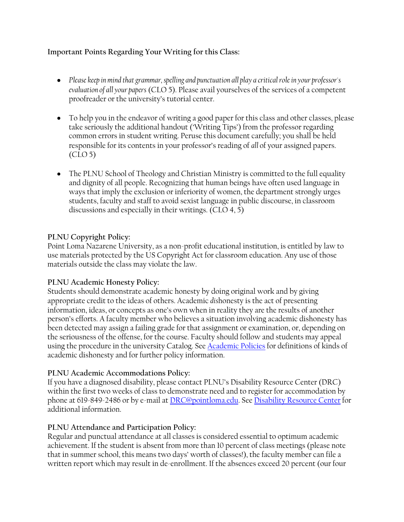# **Important Points Regarding Your Writing for this Class:**

- *Please keep in mind that grammar, spelling and punctuation all play a critical role in your professor's evaluation of all your papers* (CLO 5). Please avail yourselves of the services of a competent proofreader or the university's tutorial center.
- To help you in the endeavor of writing a good paper for this class and other classes, please take seriously the additional handout ('Writing Tips') from the professor regarding common errors in student writing. Peruse this document carefully; you shall be held responsible for its contents in your professor's reading of *all* of your assigned papers. (CLO 5)
- The PLNU School of Theology and Christian Ministry is committed to the full equality and dignity of all people. Recognizing that human beings have often used language in ways that imply the exclusion or inferiority of women, the department strongly urges students, faculty and staff to avoid sexist language in public discourse, in classroom discussions and especially in their writings. (CLO 4, 5)

## **PLNU Copyright Policy:**

Point Loma Nazarene University, as a non-profit educational institution, is entitled by law to use materials protected by the US Copyright Act for classroom education. Any use of those materials outside the class may violate the law.

## **PLNU Academic Honesty Policy:**

Students should demonstrate academic honesty by doing original work and by giving appropriate credit to the ideas of others. Academic *dis*honesty is the act of presenting information, ideas, or concepts as one's own when in reality they are the results of another person's efforts. A faculty member who believes a situation involving academic dishonesty has been detected may assign a failing grade for that assignment or examination, or, depending on the seriousness of the offense, for the course. Faculty should follow and students may appeal using the procedure in the university Catalog. See [Academic Policies](http://catalog.pointloma.edu/content.php?catoid=18&navoid=1278) for definitions of kinds of academic dishonesty and for further policy information.

# **PLNU Academic Accommodations Policy:**

If you have a diagnosed disability, please contact PLNU's Disability Resource Center (DRC) within the first two weeks of class to demonstrate need and to register for accommodation by phone at 619-849-2486 or by e-mail a[t DRC@pointloma.edu.](mailto:DRC@pointloma.edu) See [Disability Resource Center](http://www.pointloma.edu/experience/offices/administrative-offices/academic-advising-office/disability-resource-center) for additional information.

# **PLNU Attendance and Participation Policy:**

Regular and punctual attendance at all classes is considered essential to optimum academic achievement. If the student is absent from more than 10 percent of class meetings (please note that in summer school, this means two days' worth of classes!), the faculty member can file a written report which may result in de-enrollment. If the absences exceed 20 percent (our four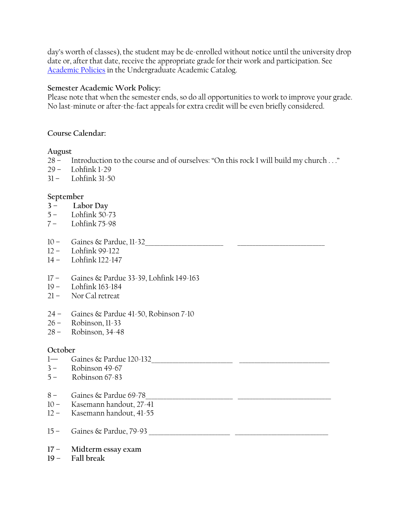day's worth of classes), the student may be de-enrolled without notice until the university drop date or, after that date, receive the appropriate grade for their work and participation. See [Academic Policies](http://catalog.pointloma.edu/content.php?catoid=18&navoid=1278) in the Undergraduate Academic Catalog.

### **Semester Academic Work Policy:**

Please note that when the semester ends, so do all opportunities to work to improve your grade. No last-minute or after-the-fact appeals for extra credit will be even briefly considered.

### **Course Calendar:**

### **August**

– Introduction to the course and of ourselves: "On this rock I will build my church . . ."

- $29 I$  ohfink  $1-29$
- $31 -$  Lohfink  $31-50$

### **September**

- **– Labor Day**
- Lohfink 50-73
- Lohfink 75-98
- Gaines & Pardue, 11-32\_\_\_\_\_\_\_\_\_\_\_\_\_\_\_\_\_\_\_\_\_\_\_\_\_\_ \_\_\_\_\_\_\_\_\_\_\_\_\_\_\_\_\_\_\_\_\_\_\_\_\_\_\_\_\_
- Lohfink 99-122
- Lohfink 122-147
- Gaines & Pardue 33-39, Lohfink 149-163
- Lohfink 163-184
- Nor Cal retreat
- Gaines & Pardue 41-50, Robinson 7-10
- Robinson, 11-33
- Robinson, 34-48

### **October**

- Gaines & Pardue 120-132\_\_\_\_\_\_\_\_\_\_\_\_\_\_\_\_\_\_\_\_\_\_\_\_\_\_\_ \_\_\_\_\_\_\_\_\_\_\_\_\_\_\_\_\_\_\_\_\_\_\_\_\_\_\_\_\_\_
- Robinson 49-67
- Robinson 67-83
- Gaines & Pardue 69-78\_\_\_\_\_\_\_\_\_\_\_\_\_\_\_\_\_\_\_\_\_\_\_\_\_\_\_\_\_ \_\_\_\_\_\_\_\_\_\_\_\_\_\_\_\_\_\_\_\_\_\_\_\_\_\_\_\_\_\_\_
- Kasemann handout, 27-41
- Kasemann handout, 41-55
- Gaines & Pardue, 79-93 \_\_\_\_\_\_\_\_\_\_\_\_\_\_\_\_\_\_\_\_\_\_\_\_\_\_\_ \_\_\_\_\_\_\_\_\_\_\_\_\_\_\_\_\_\_\_\_\_\_\_\_\_\_\_\_\_\_\_
- **– Midterm essay exam**
- **– Fall break**